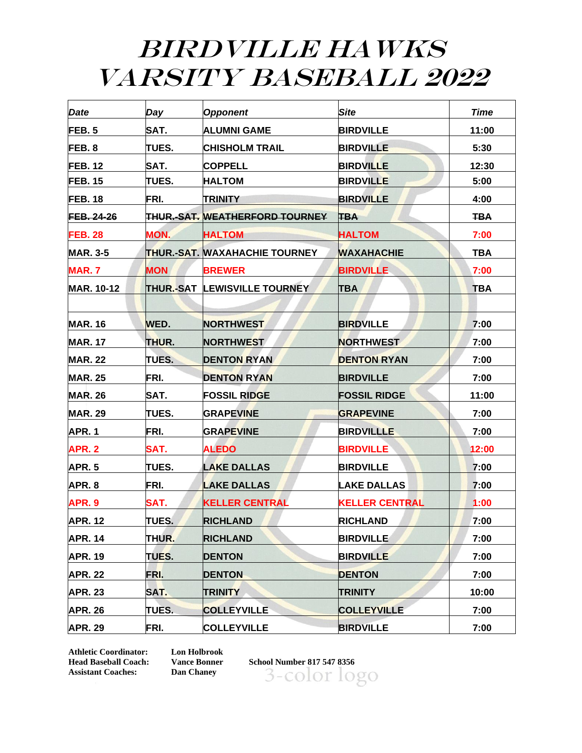## BIRDVILLE HAWKS VARSITY BASEBALL 2022

| Date              | Day          | <b>Opponent</b>                | <b>Site</b>           | <b>Time</b> |
|-------------------|--------------|--------------------------------|-----------------------|-------------|
| FEB.5             | SAT.         | <b>ALUMNI GAME</b>             | <b>BIRDVILLE</b>      | 11:00       |
| FEB.8             | TUES.        | <b>CHISHOLM TRAIL</b>          | <b>BIRDVILLE</b>      | 5:30        |
| <b>FEB. 12</b>    | SAT.         | <b>COPPELL</b>                 | <b>BIRDVILLE</b>      | 12:30       |
| <b>FEB. 15</b>    | TUES.        | <b>HALTOM</b>                  | <b>BIRDVILLE</b>      | 5:00        |
| <b>FEB. 18</b>    | FRI.         | <b>TRINITY</b>                 | <b>BIRDVILLE</b>      | 4:00        |
| <b>FEB. 24-26</b> |              | THUR.-SAT. WEATHERFORD TOURNEY | <b>TBA</b>            | <b>TBA</b>  |
| <b>FEB. 28</b>    | MON.         | <b>HALTOM</b>                  | <b>HALTOM</b>         | 7:00        |
| <b>MAR. 3-5</b>   |              | ITHUR.-SAT. MAXAHACHIE TOURNEY | <b>WAXAHACHIE</b>     | <b>TBA</b>  |
| <b>MAR.7</b>      | <b>MON</b>   | <b>BREWER</b>                  | <b>BIRDVILLE</b>      | 7:00        |
| <b>MAR. 10-12</b> |              | THUR.-SAT LEWISVILLE TOURNEY   | <b>TBA</b>            | <b>TBA</b>  |
|                   |              |                                |                       |             |
| <b>MAR. 16</b>    | WED.         | <b>NORTHWEST</b>               | <b>BIRDVILLE</b>      | 7:00        |
| <b>MAR. 17</b>    | THUR.        | <b>NORTHWEST</b>               | <b>NORTHWEST</b>      | 7:00        |
| <b>MAR. 22</b>    | TUES.        | <b>DENTON RYAN</b>             | <b>DENTON RYAN</b>    | 7:00        |
| <b>MAR. 25</b>    | FRI.         | <b>DENTON RYAN</b>             | <b>BIRDVILLE</b>      | 7:00        |
| <b>MAR. 26</b>    | SAT.         | <b>FOSSIL RIDGE</b>            | <b>FOSSIL RIDGE</b>   | 11:00       |
| <b>MAR. 29</b>    | TUES.        | <b>GRAPEVINE</b>               | <b>GRAPEVINE</b>      | 7:00        |
| APR.1             | FRI.         | <b>GRAPEVINE</b>               | <b>BIRDVILLLE</b>     | 7:00        |
| APR. 2            | SAT.         | <b>ALEDO</b>                   | <b>BIRDVILLE</b>      | 12:00       |
| <b>APR. 5</b>     | TUES.        | <b>LAKE DALLAS</b>             | <b>BIRDVILLE</b>      | 7:00        |
| APR. 8            | FRI.         | <b>LAKE DALLAS</b>             | <b>LAKE DALLAS</b>    | 7:00        |
| APR. 9            | SAT.         | <b>KELLER CENTRAL</b>          | <b>KELLER CENTRAL</b> | 1:00        |
| <b>APR. 12</b>    | <b>TUES.</b> | <b>RICHLAND</b>                | <b>RICHLAND</b>       | 7:00        |
| <b>APR. 14</b>    | THUR.        | <b>RICHLAND</b>                | <b>BIRDVILLE</b>      | 7:00        |
| <b>APR. 19</b>    | TUES.        | <b>DENTON</b>                  | <b>BIRDVILLE</b>      | 7:00        |
| <b>APR. 22</b>    | FRI.         | <b>DENTON</b>                  | <b>DENTON</b>         | 7:00        |
| <b>APR. 23</b>    | SAT.         | <b>TRINITY</b>                 | <b>TRINITY</b>        | 10:00       |
| <b>APR. 26</b>    | TUES.        | <b>COLLEYVILLE</b>             | <b>COLLEYVILLE</b>    | 7:00        |
| <b>APR. 29</b>    | FRI.         | <b>COLLEYVILLE</b>             | <b>BIRDVILLE</b>      | 7:00        |

**Athletic Coordinator: Lon Holbrook Assistant Coaches: Dan Chaney** 

**Head Baseball Coach: Vance Bonner School Number 817 547 8356** 3-color logo